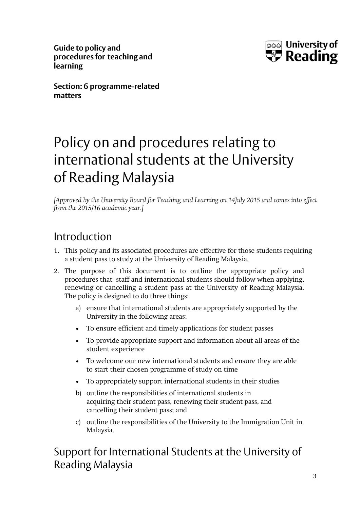**Guide to policy and procedures for teaching and learning**



**Section: 6 programme-related matters**

# Policy on and procedures relating to international students at the University of Reading Malaysia

*[Approved by the University Board for Teaching and Learning on 14July 2015 and comes into effect from the 2015/16 academic year.]*

# Introduction

- 1. This policy and its associated procedures are effective for those students requiring a student pass to study at the University of Reading Malaysia.
- 2. The purpose of this document is to outline the appropriate policy and procedures that staff and international students should follow when applying, renewing or cancelling a student pass at the University of Reading Malaysia. The policy is designed to do three things:
	- a) ensure that international students are appropriately supported by the University in the following areas;
	- To ensure efficient and timely applications for student passes
	- To provide appropriate support and information about all areas of the student experience
	- To welcome our new international students and ensure they are able to start their chosen programme of study on time
	- To appropriately support international students in their studies
	- b) outline the responsibilities of international students in acquiring their student pass, renewing their student pass, and cancelling their student pass; and
	- c) outline the responsibilities of the University to the Immigration Unit in Malaysia.

Support for International Students at the University of Reading Malaysia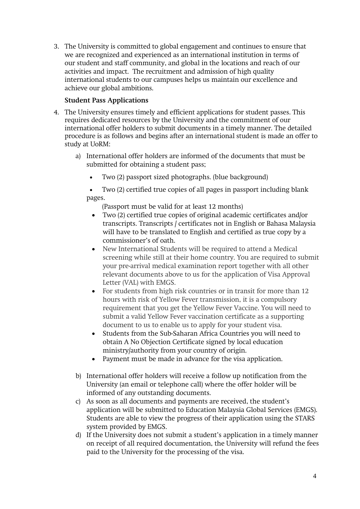3. The University is committed to global engagement and continues to ensure that we are recognized and experienced as an international institution in terms of our student and staff community, and global in the locations and reach of our activities and impact. The recruitment and admission of high quality international students to our campuses helps us maintain our excellence and achieve our global ambitions.

### **Student Pass Applications**

- 4. The University ensures timely and efficient applications for student passes. This requires dedicated resources by the University and the commitment of our international offer holders to submit documents in a timely manner. The detailed procedure is as follows and begins after an international student is made an offer to study at UoRM:
	- a) International offer holders are informed of the documents that must be submitted for obtaining a student pass;
		- Two (2) passport sized photographs. (blue background)

• Two (2) certified true copies of all pages in passport including blank pages.

(Passport must be valid for at least 12 months)

- Two (2) certified true copies of original academic certificates and/or transcripts. Transcripts / certificates not in English or Bahasa Malaysia will have to be translated to English and certified as true copy by a commissioner's of oath.
- New International Students will be required to attend a Medical screening while still at their home country. You are required to submit your pre-arrival medical examination report together with all other relevant documents above to us for the application of Visa Approval Letter (VAL) with EMGS.
- For students from high risk countries or in transit for more than 12 hours with risk of Yellow Fever transmission, it is a compulsory requirement that you get the Yellow Fever Vaccine. You will need to submit a valid Yellow Fever vaccination certificate as a supporting document to us to enable us to apply for your student visa.
- Students from the Sub-Saharan Africa Countries you will need to obtain A No Objection Certificate signed by local education ministry/authority from your country of origin.
- Payment must be made in advance for the visa application.
- b) International offer holders will receive a follow up notification from the University (an email or telephone call) where the offer holder will be informed of any outstanding documents.
- c) As soon as all documents and payments are received, the student's application will be submitted to Education Malaysia Global Services (EMGS). Students are able to view the progress of their application using the STARS system provided by EMGS.
- d) If the University does not submit a student's application in a timely manner on receipt of all required documentation, the University will refund the fees paid to the University for the processing of the visa.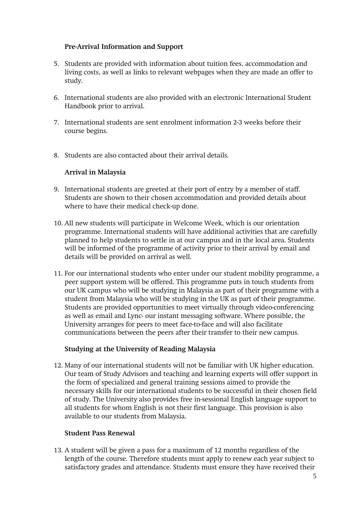### **Pre-Arrival Information and Support**

- 5. Students are provided with information about tuition fees, accommodation and living costs, as well as links to relevant webpages when they are made an offer to study.
- 6. International students are also provided with an electronic International Student Handbook prior to arrival.
- 7. International students are sent enrolment information 2-3 weeks before their course begins.
- 8. Students are also contacted about their arrival details.

#### **Arrival in Malaysia**

- 9. International students are greeted at their port of entry by a member of staff. Students are shown to their chosen accommodation and provided details about where to have their medical check-up done.
- 10. All new students will participate in Welcome Week, which is our orientation programme. International students will have additional activities that are carefully planned to help students to settle in at our campus and in the local area. Students will be informed of the programme of activity prior to their arrival by email and details will be provided on arrival as well.
- 11. For our international students who enter under our student mobility programme, a peer support system will be offered. This programme puts in touch students from our UK campus who will be studying in Malaysia as part of their programme with a student from Malaysia who will be studying in the UK as part of their programme. Students are provided opportunities to meet virtually through video-conferencing as well as email and Lync- our instant messaging software. Where possible, the University arranges for peers to meet face-to-face and will also facilitate communications between the peers after their transfer to their new campus.

#### **Studying at the University of Reading Malaysia**

12. Many of our international students will not be familiar with UK higher education. Our team of Study Advisors and teaching and learning experts will offer support in the form of specialized and general training sessions aimed to provide the necessary skills for our international students to be successful in their chosen field of study. The University also provides free in-sessional English language support to all students for whom English is not their first language. This provision is also available to our students from Malaysia.

#### **Student Pass Renewal**

13. A student will be given a pass for a maximum of 12 months regardless of the length of the course. Therefore students must apply to renew each year subject to satisfactory grades and attendance. Students must ensure they have received their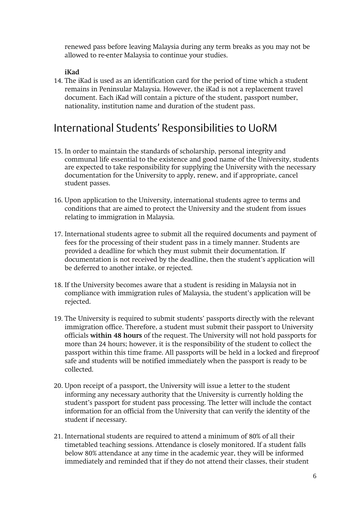renewed pass before leaving Malaysia during any term breaks as you may not be allowed to re-enter Malaysia to continue your studies.

### **iKad**

14. The iKad is used as an identification card for the period of time which a student remains in Peninsular Malaysia. However, the iKad is not a replacement travel document. Each iKad will contain a picture of the student, passport number, nationality, institution name and duration of the student pass.

## International Students' Responsibilities to UoRM

- 15. In order to maintain the standards of scholarship, personal integrity and communal life essential to the existence and good name of the University, students are expected to take responsibility for supplying the University with the necessary documentation for the University to apply, renew, and if appropriate, cancel student passes.
- 16. Upon application to the University, international students agree to terms and conditions that are aimed to protect the University and the student from issues relating to immigration in Malaysia.
- 17. International students agree to submit all the required documents and payment of fees for the processing of their student pass in a timely manner. Students are provided a deadline for which they must submit their documentation. If documentation is not received by the deadline, then the student's application will be deferred to another intake, or rejected.
- 18. If the University becomes aware that a student is residing in Malaysia not in compliance with immigration rules of Malaysia, the student's application will be rejected.
- 19. The University is required to submit students' passports directly with the relevant immigration office. Therefore, a student must submit their passport to University officials **within 48 hours** of the request. The University will not hold passports for more than 24 hours; however, it is the responsibility of the student to collect the passport within this time frame. All passports will be held in a locked and fireproof safe and students will be notified immediately when the passport is ready to be collected.
- 20. Upon receipt of a passport, the University will issue a letter to the student informing any necessary authority that the University is currently holding the student's passport for student pass processing. The letter will include the contact information for an official from the University that can verify the identity of the student if necessary.
- 21. International students are required to attend a minimum of 80% of all their timetabled teaching sessions. Attendance is closely monitored. If a student falls below 80% attendance at any time in the academic year, they will be informed immediately and reminded that if they do not attend their classes, their student